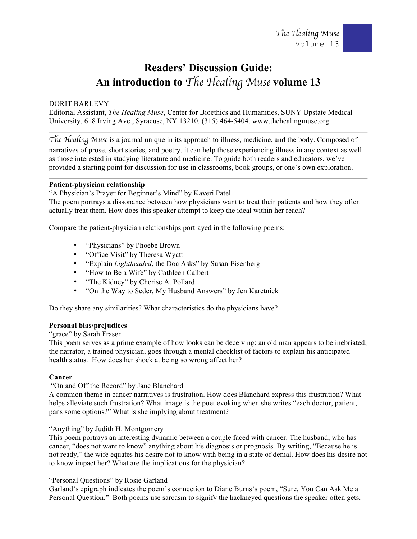# **Readers' Discussion Guide: An introduction to** *The Healing Muse* **volume 13**

# DORIT BARLEVY

Editorial Assistant, *The Healing Muse*, Center for Bioethics and Humanities, SUNY Upstate Medical University, 618 Irving Ave., Syracuse, NY 13210. (315) 464-5404. www.thehealingmuse.org

*The Healing Muse* is a journal unique in its approach to illness, medicine, and the body. Composed of

narratives of prose, short stories, and poetry, it can help those experiencing illness in any context as well as those interested in studying literature and medicine. To guide both readers and educators, we've provided a starting point for discussion for use in classrooms, book groups, or one's own exploration.

# **Patient-physician relationship**

"A Physician's Prayer for Beginner's Mind" by Kaveri Patel

The poem portrays a dissonance between how physicians want to treat their patients and how they often actually treat them. How does this speaker attempt to keep the ideal within her reach?

Compare the patient-physician relationships portrayed in the following poems:

- "Physicians" by Phoebe Brown
- "Office Visit" by Theresa Wyatt
- "Explain *Lightheaded*, the Doc Asks" by Susan Eisenberg
- "How to Be a Wife" by Cathleen Calbert
- "The Kidney" by Cherise A. Pollard
- "On the Way to Seder, My Husband Answers" by Jen Karetnick

Do they share any similarities? What characteristics do the physicians have?

# **Personal bias/prejudices**

#### "grace" by Sarah Fraser

This poem serves as a prime example of how looks can be deceiving: an old man appears to be inebriated; the narrator, a trained physician, goes through a mental checklist of factors to explain his anticipated health status. How does her shock at being so wrong affect her?

# **Cancer**

# "On and Off the Record" by Jane Blanchard

A common theme in cancer narratives is frustration. How does Blanchard express this frustration? What helps alleviate such frustration? What image is the poet evoking when she writes "each doctor, patient, pans some options?" What is she implying about treatment?

# "Anything" by Judith H. Montgomery

This poem portrays an interesting dynamic between a couple faced with cancer. The husband, who has cancer, "does not want to know" anything about his diagnosis or prognosis. By writing, "Because he is not ready," the wife equates his desire not to know with being in a state of denial. How does his desire not to know impact her? What are the implications for the physician?

# "Personal Questions" by Rosie Garland

Garland's epigraph indicates the poem's connection to Diane Burns's poem, "Sure, You Can Ask Me a Personal Question." Both poems use sarcasm to signify the hackneyed questions the speaker often gets.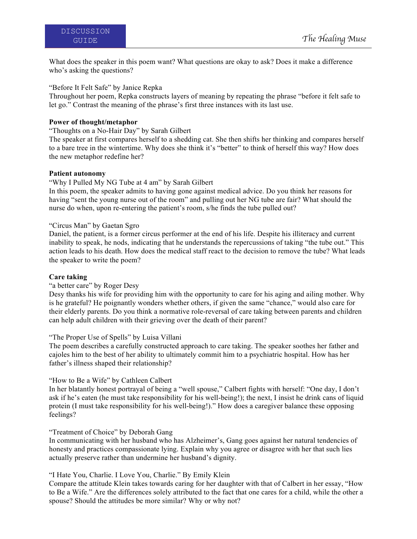What does the speaker in this poem want? What questions are okay to ask? Does it make a difference who's asking the questions?

"Before It Felt Safe" by Janice Repka

Throughout her poem, Repka constructs layers of meaning by repeating the phrase "before it felt safe to let go." Contrast the meaning of the phrase's first three instances with its last use.

# **Power of thought/metaphor**

"Thoughts on a No-Hair Day" by Sarah Gilbert

The speaker at first compares herself to a shedding cat. She then shifts her thinking and compares herself to a bare tree in the wintertime. Why does she think it's "better" to think of herself this way? How does the new metaphor redefine her?

## **Patient autonomy**

"Why I Pulled My NG Tube at 4 am" by Sarah Gilbert

In this poem, the speaker admits to having gone against medical advice. Do you think her reasons for having "sent the young nurse out of the room" and pulling out her NG tube are fair? What should the nurse do when, upon re-entering the patient's room, s/he finds the tube pulled out?

## "Circus Man" by Gaetan Sgro

Daniel, the patient, is a former circus performer at the end of his life. Despite his illiteracy and current inability to speak, he nods, indicating that he understands the repercussions of taking "the tube out." This action leads to his death. How does the medical staff react to the decision to remove the tube? What leads the speaker to write the poem?

# **Care taking**

# "a better care" by Roger Desy

Desy thanks his wife for providing him with the opportunity to care for his aging and ailing mother. Why is he grateful? He poignantly wonders whether others, if given the same "chance," would also care for their elderly parents. Do you think a normative role-reversal of care taking between parents and children can help adult children with their grieving over the death of their parent?

# "The Proper Use of Spells" by Luisa Villani

The poem describes a carefully constructed approach to care taking. The speaker soothes her father and cajoles him to the best of her ability to ultimately commit him to a psychiatric hospital. How has her father's illness shaped their relationship?

#### "How to Be a Wife" by Cathleen Calbert

In her blatantly honest portrayal of being a "well spouse," Calbert fights with herself: "One day, I don't ask if he's eaten (he must take responsibility for his well-being!); the next, I insist he drink cans of liquid protein (I must take responsibility for his well-being!)." How does a caregiver balance these opposing feelings?

#### "Treatment of Choice" by Deborah Gang

In communicating with her husband who has Alzheimer's, Gang goes against her natural tendencies of honesty and practices compassionate lying. Explain why you agree or disagree with her that such lies actually preserve rather than undermine her husband's dignity.

# "I Hate You, Charlie. I Love You, Charlie." By Emily Klein

Compare the attitude Klein takes towards caring for her daughter with that of Calbert in her essay, "How to Be a Wife." Are the differences solely attributed to the fact that one cares for a child, while the other a spouse? Should the attitudes be more similar? Why or why not?